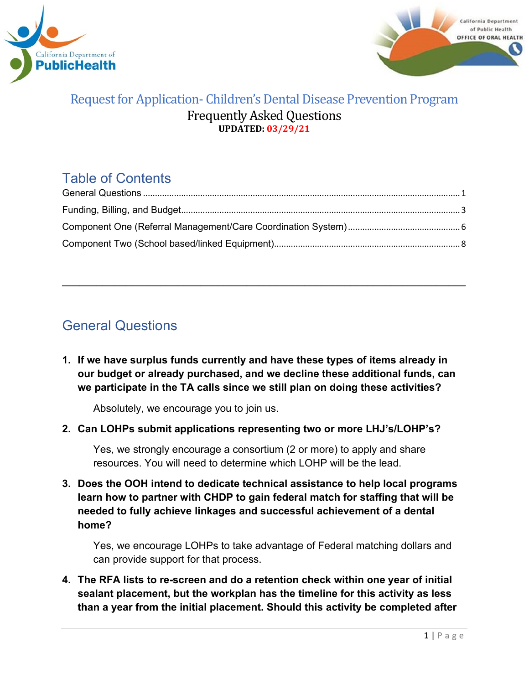



# Table of Contents

\_\_\_\_\_\_\_\_\_\_\_\_\_\_\_\_\_\_\_\_\_\_\_\_\_\_\_\_\_\_\_\_\_\_\_\_\_\_\_\_\_\_\_\_\_\_\_\_\_\_\_\_\_\_\_\_\_\_\_\_\_\_\_\_\_\_\_\_\_\_

# <span id="page-0-0"></span>General Questions

**1. If we have surplus funds currently and have these types of items already in our budget or already purchased, and we decline these additional funds, can we participate in the TA calls since we still plan on doing these activities?**

Absolutely, we encourage you to join us.

**2. Can LOHPs submit applications representing two or more LHJ's/LOHP's?** 

Yes, we strongly encourage a consortium (2 or more) to apply and share resources. You will need to determine which LOHP will be the lead.

**3. Does the OOH intend to dedicate technical assistance to help local programs learn how to partner with CHDP to gain federal match for staffing that will be needed to fully achieve linkages and successful achievement of a dental home?**

Yes, we encourage LOHPs to take advantage of Federal matching dollars and can provide support for that process.

**4. The RFA lists to re-screen and do a retention check within one year of initial sealant placement, but the workplan has the timeline for this activity as less than a year from the initial placement. Should this activity be completed after**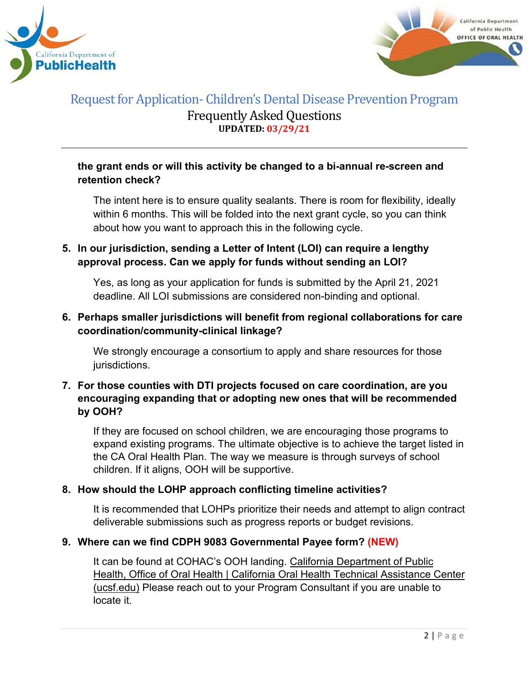



## **the grant ends or will this activity be changed to a bi-annual re-screen and retention check?**

The intent here is to ensure quality sealants. There is room for flexibility, ideally within 6 months. This will be folded into the next grant cycle, so you can think about how you want to approach this in the following cycle.

# **5. In our jurisdiction, sending a Letter of Intent (LOI) can require a lengthy approval process. Can we apply for funds without sending an LOI?**

Yes, as long as your application for funds is submitted by the April 21, 2021 deadline. All LOI submissions are considered non-binding and optional.

## **6. Perhaps smaller jurisdictions will benefit from regional collaborations for care coordination/community-clinical linkage?**

We strongly encourage a consortium to apply and share resources for those jurisdictions.

## **7. For those counties with DTI projects focused on care coordination, are you encouraging expanding that or adopting new ones that will be recommended by OOH?**

If they are focused on school children, we are encouraging those programs to expand existing programs. The ultimate objective is to achieve the target listed in the CA Oral Health Plan. The way we measure is through surveys of school children. If it aligns, OOH will be supportive.

## **8. How should the LOHP approach conflicting timeline activities?**

It is recommended that LOHPs prioritize their needs and attempt to align contract deliverable submissions such as progress reports or budget revisions.

## **9. Where can we find CDPH 9083 Governmental Payee form? (NEW)**

It can be found at COHAC's OOH landing. California [Department](https://oralhealthsupport.ucsf.edu/california-department-public-health-office-oral-health) of Public Health, Office of Oral Health | California Oral Health Technical [Assistance](https://oralhealthsupport.ucsf.edu/california-department-public-health-office-oral-health) Center [\(ucsf.edu\)](https://oralhealthsupport.ucsf.edu/california-department-public-health-office-oral-health) Please reach out to your Program Consultant if you are unable to locate it.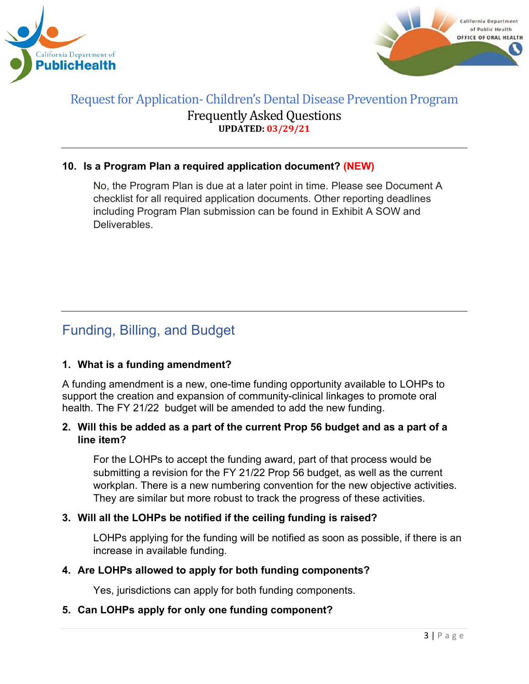



#### **10. Is a Program Plan a required application document? (NEW)**

No, the Program Plan is due at a later point in time. Please see Document A checklist for all required application documents. Other reporting deadlines including Program Plan submission can be found in Exhibit A SOW and **Deliverables** 

# <span id="page-2-0"></span>Funding, Billing, and Budget

#### **1. What is a funding amendment?**

A funding amendment is a new, one-time funding opportunity available to LOHPs to support the creation and expansion of community-clinical linkages to promote oral health. The FY 21/22 budget will be amended to add the new funding.

#### **2. Will this be added as a part of the current Prop 56 budget and as a part of a line item?**

For the LOHPs to accept the funding award, part of that process would be submitting a revision for the FY 21/22 Prop 56 budget, as well as the current workplan. There is a new numbering convention for the new objective activities. They are similar but more robust to track the progress of these activities.

## **3. Will all the LOHPs be notified if the ceiling funding is raised?**

LOHPs applying for the funding will be notified as soon as possible, if there is an increase in available funding.

#### **4. Are LOHPs allowed to apply for both funding components?**

Yes, jurisdictions can apply for both funding components.

#### **5. Can LOHPs apply for only one funding component?**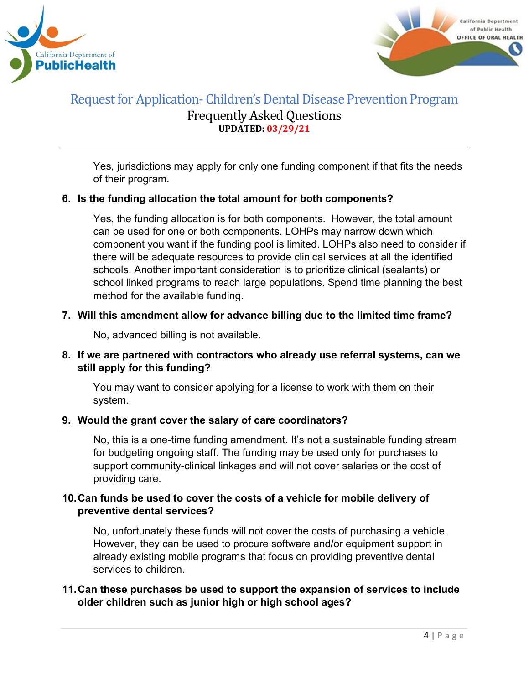



Yes, jurisdictions may apply for only one funding component if that fits the needs of their program.

#### **6. Is the funding allocation the total amount for both components?**

Yes, the funding allocation is for both components. However, the total amount can be used for one or both components. LOHPs may narrow down which component you want if the funding pool is limited. LOHPs also need to consider if there will be adequate resources to provide clinical services at all the identified schools. Another important consideration is to prioritize clinical (sealants) or school linked programs to reach large populations. Spend time planning the best method for the available funding.

#### **7. Will this amendment allow for advance billing due to the limited time frame?**

No, advanced billing is not available.

## **8. If we are partnered with contractors who already use referral systems, can we still apply for this funding?**

You may want to consider applying for a license to work with them on their system.

#### **9. Would the grant cover the salary of care coordinators?**

No, this is a one-time funding amendment. It's not a sustainable funding stream for budgeting ongoing staff. The funding may be used only for purchases to support community-clinical linkages and will not cover salaries or the cost of providing care.

#### **10.Can funds be used to cover the costs of a vehicle for mobile delivery of preventive dental services?**

No, unfortunately these funds will not cover the costs of purchasing a vehicle. However, they can be used to procure software and/or equipment support in already existing mobile programs that focus on providing preventive dental services to children.

#### **11.Can these purchases be used to support the expansion of services to include older children such as junior high or high school ages?**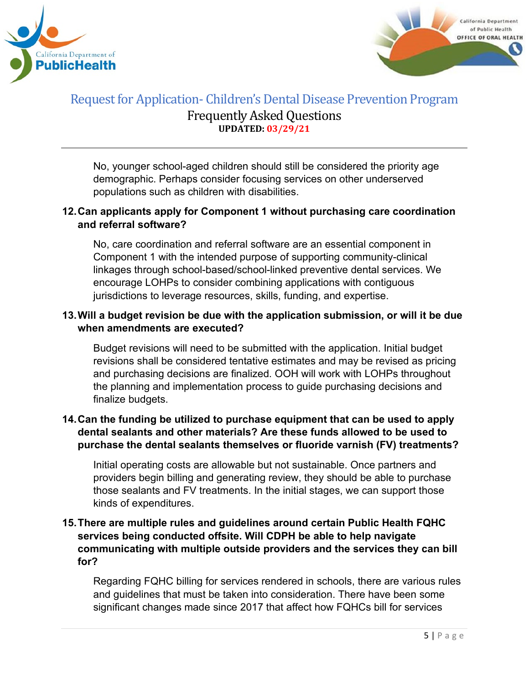



No, younger school-aged children should still be considered the priority age demographic. Perhaps consider focusing services on other underserved populations such as children with disabilities.

## **12.Can applicants apply for Component 1 without purchasing care coordination and referral software?**

No, care coordination and referral software are an essential component in Component 1 with the intended purpose of supporting community-clinical linkages through school-based/school-linked preventive dental services. We encourage LOHPs to consider combining applications with contiguous jurisdictions to leverage resources, skills, funding, and expertise.

#### **13.Will a budget revision be due with the application submission, or will it be due when amendments are executed?**

Budget revisions will need to be submitted with the application. Initial budget revisions shall be considered tentative estimates and may be revised as pricing and purchasing decisions are finalized. OOH will work with LOHPs throughout the planning and implementation process to guide purchasing decisions and finalize budgets.

#### **14.Can the funding be utilized to purchase equipment that can be used to apply dental sealants and other materials? Are these funds allowed to be used to purchase the dental sealants themselves or fluoride varnish (FV) treatments?**

Initial operating costs are allowable but not sustainable. Once partners and providers begin billing and generating review, they should be able to purchase those sealants and FV treatments. In the initial stages, we can support those kinds of expenditures.

## **15.There are multiple rules and guidelines around certain Public Health FQHC services being conducted offsite. Will CDPH be able to help navigate communicating with multiple outside providers and the services they can bill for?**

Regarding FQHC billing for services rendered in schools, there are various rules and guidelines that must be taken into consideration. There have been some significant changes made since 2017 that affect how FQHCs bill for services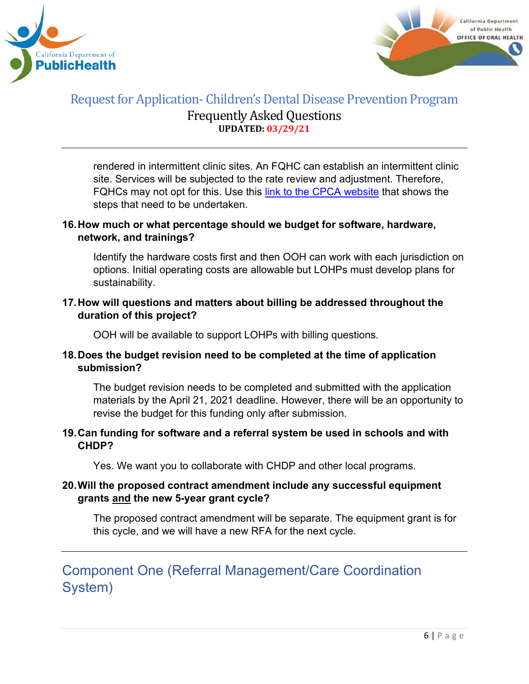



rendered in intermittent clinic sites. An FQHC can establish an intermittent clinic site. Services will be subjected to the rate review and adjustment. Therefore, FQHCs may not opt for this. Use this [link to the CPCA website](https://www.cpca.org/CPCA/Health_Center_Resources/Operations/Licensing_Certification_OSHPD_3/CPCA/HEALTH_CENTER_RESOURCES/Operations/Licensing___Certification_OSHPD_3.aspx?hkey=e213a1f9-e91c-4d07-bd87-f32c31a5f75c#:%7E:text=Intermittent%3A%20A%20clinic%20that%20is,than%2040%20hours%20a%20week) that shows the steps that need to be undertaken.

## **16.How much or what percentage should we budget for software, hardware, network, and trainings?**

Identify the hardware costs first and then OOH can work with each jurisdiction on options. Initial operating costs are allowable but LOHPs must develop plans for sustainability.

#### **17.How will questions and matters about billing be addressed throughout the duration of this project?**

OOH will be available to support LOHPs with billing questions.

## **18.Does the budget revision need to be completed at the time of application submission?**

The budget revision needs to be completed and submitted with the application materials by the April 21, 2021 deadline. However, there will be an opportunity to revise the budget for this funding only after submission.

#### **19.Can funding for software and a referral system be used in schools and with CHDP?**

Yes. We want you to collaborate with CHDP and other local programs.

## **20.Will the proposed contract amendment include any successful equipment grants and the new 5-year grant cycle?**

The proposed contract amendment will be separate. The equipment grant is for this cycle, and we will have a new RFA for the next cycle.

# <span id="page-5-0"></span>Component One (Referral Management/Care Coordination System)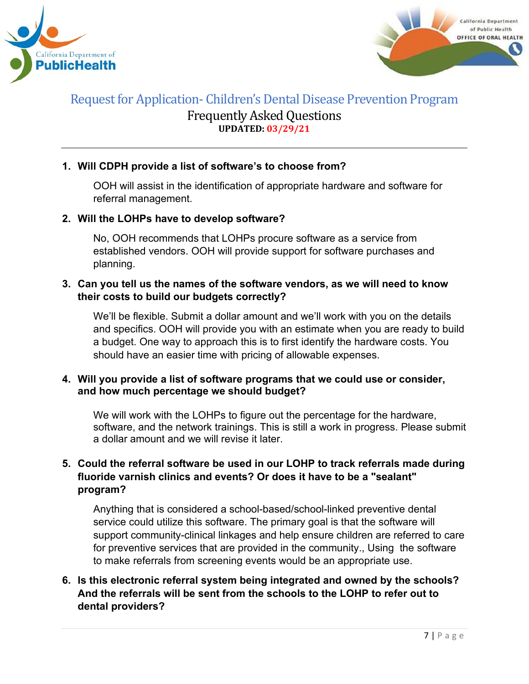



## **1. Will CDPH provide a list of software's to choose from?**

OOH will assist in the identification of appropriate hardware and software for referral management.

#### **2. Will the LOHPs have to develop software?**

No, OOH recommends that LOHPs procure software as a service from established vendors. OOH will provide support for software purchases and planning.

#### **3. Can you tell us the names of the software vendors, as we will need to know their costs to build our budgets correctly?**

We'll be flexible. Submit a dollar amount and we'll work with you on the details and specifics. OOH will provide you with an estimate when you are ready to build a budget. One way to approach this is to first identify the hardware costs. You should have an easier time with pricing of allowable expenses.

#### **4. Will you provide a list of software programs that we could use or consider, and how much percentage we should budget?**

We will work with the LOHPs to figure out the percentage for the hardware, software, and the network trainings. This is still a work in progress. Please submit a dollar amount and we will revise it later.

# **5. Could the referral software be used in our LOHP to track referrals made during fluoride varnish clinics and events? Or does it have to be a "sealant" program?**

Anything that is considered a school-based/school-linked preventive dental service could utilize this software. The primary goal is that the software will support community-clinical linkages and help ensure children are referred to care for preventive services that are provided in the community., Using the software to make referrals from screening events would be an appropriate use.

## **6. Is this electronic referral system being integrated and owned by the schools? And the referrals will be sent from the schools to the LOHP to refer out to dental providers?**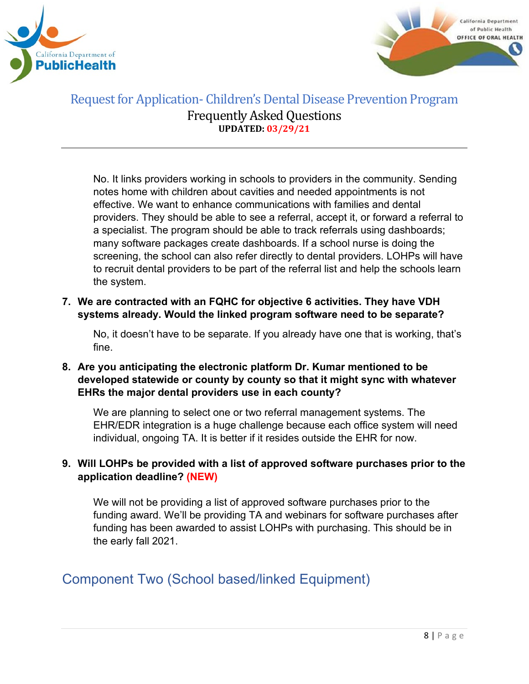



No. It links providers working in schools to providers in the community. Sending notes home with children about cavities and needed appointments is not effective. We want to enhance communications with families and dental providers. They should be able to see a referral, accept it, or forward a referral to a specialist. The program should be able to track referrals using dashboards; many software packages create dashboards. If a school nurse is doing the screening, the school can also refer directly to dental providers. LOHPs will have to recruit dental providers to be part of the referral list and help the schools learn the system.

**7. We are contracted with an FQHC for objective 6 activities. They have VDH systems already. Would the linked program software need to be separate?**

No, it doesn't have to be separate. If you already have one that is working, that's fine.

**8. Are you anticipating the electronic platform Dr. Kumar mentioned to be developed statewide or county by county so that it might sync with whatever EHRs the major dental providers use in each county?**

We are planning to select one or two referral management systems. The EHR/EDR integration is a huge challenge because each office system will need individual, ongoing TA. It is better if it resides outside the EHR for now.

## **9. Will LOHPs be provided with a list of approved software purchases prior to the application deadline? (NEW)**

We will not be providing a list of approved software purchases prior to the funding award. We'll be providing TA and webinars for software purchases after funding has been awarded to assist LOHPs with purchasing. This should be in the early fall 2021.

# <span id="page-7-0"></span>Component Two (School based/linked Equipment)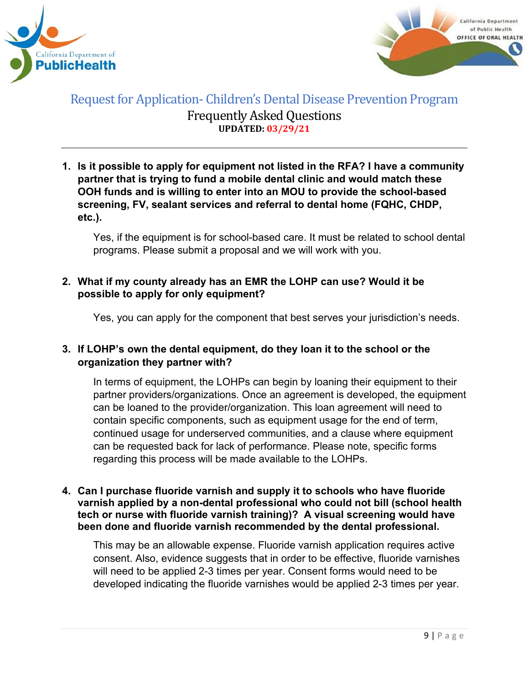



**1. Is it possible to apply for equipment not listed in the RFA? I have a community partner that is trying to fund a mobile dental clinic and would match these OOH funds and is willing to enter into an MOU to provide the school-based screening, FV, sealant services and referral to dental home (FQHC, CHDP, etc.).**

Yes, if the equipment is for school-based care. It must be related to school dental programs. Please submit a proposal and we will work with you.

#### **2. What if my county already has an EMR the LOHP can use? Would it be possible to apply for only equipment?**

Yes, you can apply for the component that best serves your jurisdiction's needs.

## **3. If LOHP's own the dental equipment, do they loan it to the school or the organization they partner with?**

In terms of equipment, the LOHPs can begin by loaning their equipment to their partner providers/organizations. Once an agreement is developed, the equipment can be loaned to the provider/organization. This loan agreement will need to contain specific components, such as equipment usage for the end of term, continued usage for underserved communities, and a clause where equipment can be requested back for lack of performance. Please note, specific forms regarding this process will be made available to the LOHPs.

**4. Can I purchase fluoride varnish and supply it to schools who have fluoride varnish applied by a non-dental professional who could not bill (school health tech or nurse with fluoride varnish training)? A visual screening would have been done and fluoride varnish recommended by the dental professional.**

This may be an allowable expense. Fluoride varnish application requires active consent. Also, evidence suggests that in order to be effective, fluoride varnishes will need to be applied 2-3 times per year. Consent forms would need to be developed indicating the fluoride varnishes would be applied 2-3 times per year.